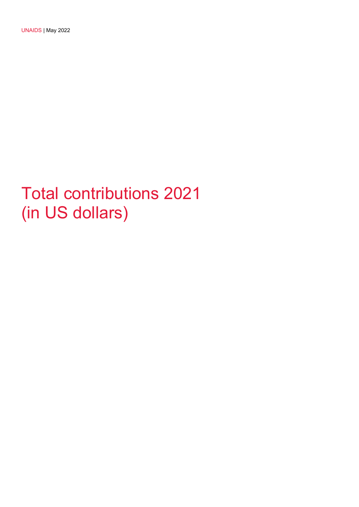## Total contributions 2021 (in US dollars)